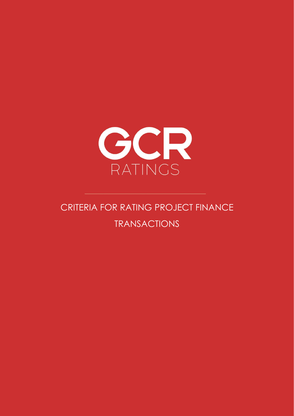

# CRITERIA FOR RATING PROJECT FINANCE TRANSACTIONS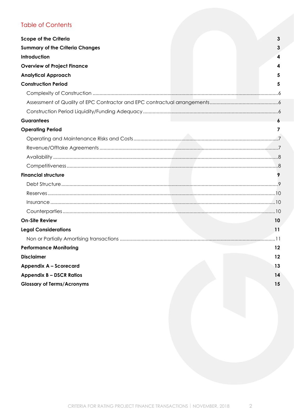## **Table of Contents**

| <b>Scope of the Criteria</b>           | 3  |
|----------------------------------------|----|
| <b>Summary of the Criteria Changes</b> | 3  |
| Introduction                           | 4  |
| <b>Overview of Project Finance</b>     |    |
| <b>Analytical Approach</b>             |    |
| <b>Construction Period</b>             |    |
|                                        |    |
|                                        |    |
|                                        |    |
| <b>Guarantees</b>                      |    |
| <b>Operating Period</b>                | 7  |
|                                        |    |
|                                        |    |
|                                        |    |
|                                        |    |
| <b>Financial structure</b>             |    |
|                                        |    |
|                                        |    |
|                                        |    |
|                                        |    |
| <b>On-Site Review</b>                  | 10 |
| <b>Legal Considerations</b>            | 11 |
|                                        |    |
| <b>Performance Monitoring</b>          | 12 |
| <b>Disclaimer</b>                      | 12 |
| <b>Appendix A - Scorecard</b>          | 13 |
| <b>Appendix B - DSCR Ratios</b>        | 14 |
| <b>Glossary of Terms/Acronyms</b>      | 15 |
|                                        |    |

 $\sqrt{2}$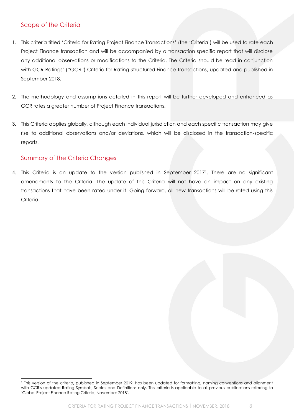## <span id="page-2-0"></span>Scope of the Criteria

- 1. This criteria titled 'Criteria for Rating Project Finance Transactions' (the 'Criteria') will be used to rate each Project Finance transaction and will be accompanied by a transaction specific report that will disclose any additional observations or modifications to the Criteria. The Criteria should be read in conjunction with GCR Ratings' ("GCR") Criteria for Rating Structured Finance Transactions, updated and published in September 2018.
- 2. The methodology and assumptions detailed in this report will be further developed and enhanced as GCR rates a greater number of Project Finance transactions.
- 3. This Criteria applies globally, although each individual jurisdiction and each specific transaction may give rise to additional observations and/or deviations, which will be disclosed in the transaction-specific reports.

### <span id="page-2-1"></span>Summary of the Criteria Changes

4. This Criteria is an update to the version published in September 20171. There are no significant amendments to the Criteria. The update of this Criteria will not have an impact on any existing transactions that have been rated under it. Going forward, all new transactions will be rated using this Criteria.

<sup>1</sup> This version of the criteria, published in September 2019, has been updated for formatting, naming conventions and alignment with GCR's updated Rating Symbols, Scales and Definitions only. This criteria is applicable to all previous publications referring to "Global Project Finance Rating Criteria, November 2018".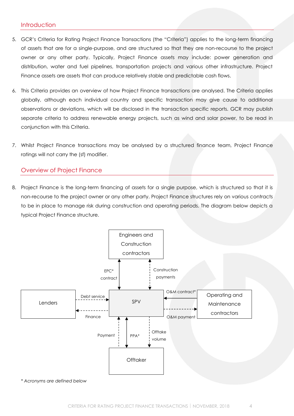- <span id="page-3-0"></span>5. GCR's Criteria for Rating Project Finance Transactions (the "Criteria") applies to the long-term financing of assets that are for a single-purpose, and are structured so that they are non-recourse to the project owner or any other party. Typically, Project Finance assets may include: power generation and distribution, water and fuel pipelines, transportation projects and various other infrastructure. Project Finance assets are assets that can produce relatively stable and predictable cash flows.
- 6. This Criteria provides an overview of how Project Finance transactions are analysed. The Criteria applies globally, although each individual country and specific transaction may give cause to additional observations or deviations, which will be disclosed in the transaction specific reports. GCR may publish separate criteria to address renewable energy projects, such as wind and solar power, to be read in conjunction with this Criteria.
- 7. Whilst Project Finance transactions may be analysed by a structured finance team, Project Finance ratings will not carry the (sf) modifier.

#### <span id="page-3-1"></span>Overview of Project Finance

8. Project Finance is the long-term financing of assets for a single purpose, which is structured so that it is non-recourse to the project owner or any other party. Project Finance structures rely on various contracts to be in place to manage risk during construction and operating periods. The diagram below depicts a typical Project Finance structure.



*\* Acronyms are defined below*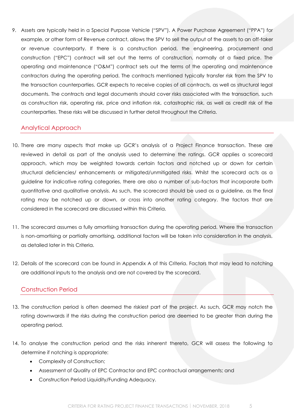9. Assets are typically held in a Special Purpose Vehicle ("SPV"). A Power Purchase Agreement ("PPA") for example, or other form of Revenue contract, allows the SPV to sell the output of the assets to an off-taker or revenue counterparty. If there is a construction period, the engineering, procurement and construction ("EPC") contract will set out the terms of construction, normally at a fixed price. The operating and maintenance ("O&M") contract sets out the terms of the operating and maintenance contractors during the operating period. The contracts mentioned typically transfer risk from the SPV to the transaction counterparties. GCR expects to receive copies of all contracts, as well as structural legal documents. The contracts and legal documents should cover risks associated with the transaction, such as construction risk, operating risk, price and inflation risk, catastrophic risk, as well as credit risk of the counterparties. These risks will be discussed in further detail throughout the Criteria.

#### <span id="page-4-0"></span>Analytical Approach

- 10. There are many aspects that make up GCR's analysis of a Project Finance transaction. These are reviewed in detail as part of the analysis used to determine the ratings. GCR applies a scorecard approach, which may be weighted towards certain factors and notched up or down for certain structural deficiencies/ enhancements or mitigated/unmitigated risks. Whilst the scorecard acts as a guideline for indicative rating categories, there are also a number of sub-factors that incorporate both quantitative and qualitative analysis. As such, the scorecard should be used as a guideline, as the final rating may be notched up or down, or cross into another rating category. The factors that are considered in the scorecard are discussed within this Criteria.
- 11. The scorecard assumes a fully amortising transaction during the operating period. Where the transaction is non-amortising or partially amortising, additional factors will be taken into consideration in the analysis, as detailed later in this Criteria.
- 12. Details of the scorecard can be found in Appendix A of this Criteria. Factors that may lead to notching are additional inputs to the analysis and are not covered by the scorecard.

#### <span id="page-4-1"></span>Construction Period

- 13. The construction period is often deemed the riskiest part of the project. As such, GCR may notch the rating downwards if the risks during the construction period are deemed to be greater than during the operating period.
- 14. To analyse the construction period and the risks inherent thereto, GCR will assess the following to determine if notching is appropriate:
	- Complexity of Construction;
	- Assessment of Quality of EPC Contractor and EPC contractual arrangements; and
	- Construction Period Liquidity/Funding Adequacy.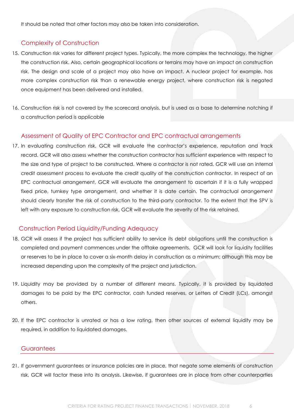It should be noted that other factors may also be taken into consideration.

#### <span id="page-5-0"></span>Complexity of Construction

- 15. Construction risk varies for different project types. Typically, the more complex the technology, the higher the construction risk. Also, certain geographical locations or terrains may have an impact on construction risk. The design and scale of a project may also have an impact. A nuclear project for example, has more complex construction risk than a renewable energy project, where construction risk is negated once equipment has been delivered and installed.
- 16. Construction risk is not covered by the scorecard analysis, but is used as a base to determine notching if a construction period is applicable

#### <span id="page-5-1"></span>Assessment of Quality of EPC Contractor and EPC contractual arrangements

17. In evaluating construction risk, GCR will evaluate the contractor's experience, reputation and track record. GCR will also assess whether the construction contractor has sufficient experience with respect to the size and type of project to be constructed. Where a contractor is not rated, GCR will use an internal credit assessment process to evaluate the credit quality of the construction contractor. In respect of an EPC contractual arrangement, GCR will evaluate the arrangement to ascertain if it is a fully wrapped fixed price, turnkey type arrangement, and whether it is date certain. The contractual arrangement should clearly transfer the risk of construction to the third-party contractor. To the extent that the SPV is left with any exposure to construction risk, GCR will evaluate the severity of the risk retained.

#### <span id="page-5-2"></span>Construction Period Liquidity/Funding Adequacy

- 18. GCR will assess if the project has sufficient ability to service its debt obligations until the construction is completed and payment commences under the offtake agreements. GCR will look for liquidity facilities or reserves to be in place to cover a six-month delay in construction as a minimum; although this may be increased depending upon the complexity of the project and jurisdiction.
- 19. Liquidity may be provided by a number of different means. Typically, it is provided by liquidated damages to be paid by the EPC contractor, cash funded reserves, or Letters of Credit (LCs), amongst others.
- 20. If the EPC contractor is unrated or has a low rating, then other sources of external liquidity may be required, in addition to liquidated damages.

#### <span id="page-5-3"></span>**Guarantees**

21. If government guarantees or insurance policies are in place, that negate some elements of construction risk, GCR will factor these into its analysis. Likewise, if guarantees are in place from other counterparties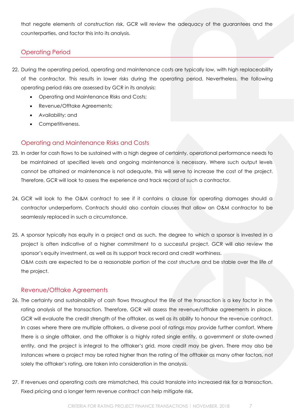that negate elements of construction risk, GCR will review the adequacy of the guarantees and the counterparties, and factor this into its analysis.

## <span id="page-6-0"></span>Operating Period

- 22. During the operating period, operating and maintenance costs are typically low, with high replaceability of the contractor. This results in lower risks during the operating period. Nevertheless, the following operating period risks are assessed by GCR in its analysis:
	- Operating and Maintenance Risks and Costs;
	- Revenue/Offtake Agreements;
	- Availability; and
	- Competitiveness.

#### <span id="page-6-1"></span>Operating and Maintenance Risks and Costs

- 23. In order for cash flows to be sustained with a high degree of certainty, operational performance needs to be maintained at specified levels and ongoing maintenance is necessary. Where such output levels cannot be attained or maintenance is not adequate, this will serve to increase the cost of the project. Therefore, GCR will look to assess the experience and track record of such a contractor.
- 24. GCR will look to the O&M contract to see if it contains a clause for operating damages should a contractor underperform. Contracts should also contain clauses that allow an O&M contractor to be seamlessly replaced in such a circumstance.
- 25. A sponsor typically has equity in a project and as such, the degree to which a sponsor is invested in a project is often indicative of a higher commitment to a successful project. GCR will also review the sponsor's equity investment, as well as its support track record and credit worthiness. O&M costs are expected to be a reasonable portion of the cost structure and be stable over the life of the project.

#### <span id="page-6-2"></span>Revenue/Offtake Agreements

- 26. The certainty and sustainability of cash flows throughout the life of the transaction is a key factor in the rating analysis of the transaction. Therefore, GCR will assess the revenue/offtake agreements in place. GCR will evaluate the credit strength of the offtaker, as well as its ability to honour the revenue contract. In cases where there are multiple offtakers, a diverse pool of ratings may provide further comfort. Where there is a single offtaker, and the offtaker is a highly rated single entity, a government or state-owned entity, and the project is integral to the offtaker's grid, more credit may be given. There may also be instances where a project may be rated higher than the rating of the offtaker as many other factors, not solely the offtaker's rating, are taken into consideration in the analysis.
- 27. If revenues and operating costs are mismatched, this could translate into increased risk for a transaction. Fixed pricing and a longer term revenue contract can help mitigate risk.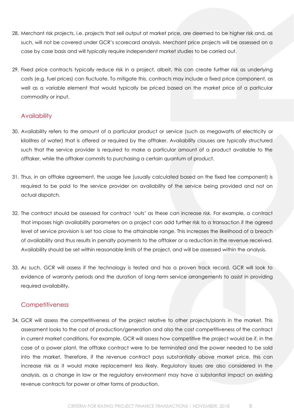- 28. Merchant risk projects, i.e. projects that sell output at market price, are deemed to be higher risk and, as such, will not be covered under GCR's scorecard analysis. Merchant price projects will be assessed on a case by case basis and will typically require independent market studies to be carried out.
- 29. Fixed price contracts typically reduce risk in a project, albeit, this can create further risk as underlying costs (e.g. fuel prices) can fluctuate. To mitigate this, contracts may include a fixed price component, as well as a variable element that would typically be priced based on the market price of a particular commodity or input.

#### <span id="page-7-0"></span>**Availability**

- 30. Availability refers to the amount of a particular product or service (such as megawatts of electricity or kilolitres of water) that is offered or required by the offtaker. Availability clauses are typically structured such that the service provider is required to make a particular amount of a product available to the offtaker, while the offtaker commits to purchasing a certain quantum of product.
- 31. Thus, in an offtake agreement, the usage fee (usually calculated based on the fixed fee component) is required to be paid to the service provider on availability of the service being provided and not on actual dispatch.
- 32. The contract should be assessed for contract 'outs' as these can increase risk. For example, a contract that imposes high availability parameters on a project can add further risk to a transaction if the agreed level of service provision is set too close to the attainable range. This increases the likelihood of a breach of availability and thus results in penalty payments to the offtaker or a reduction in the revenue received. Availability should be set within reasonable limits of the project, and will be assessed within the analysis.
- 33. As such, GCR will assess if the technology is tested and has a proven track record. GCR will look to evidence of warranty periods and the duration of long-term service arrangements to assist in providing required availability.

#### <span id="page-7-1"></span>**Competitiveness**

34. GCR will assess the competitiveness of the project relative to other projects/plants in the market. This assessment looks to the cost of production/generation and also the cost competitiveness of the contract in current market conditions. For example, GCR will assess how competitive the project would be if, in the case of a power plant, the offtake contract were to be terminated and the power needed to be sold into the market. Therefore, if the revenue contract pays substantially above market price, this can increase risk as it would make replacement less likely. Regulatory issues are also considered in the analysis, as a change in law or the regulatory environment may have a substantial impact on existing revenue contracts for power or other forms of production.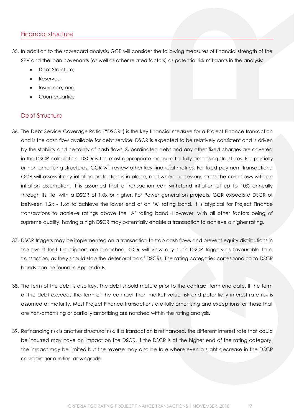#### <span id="page-8-0"></span>Financial structure

- 35. In addition to the scorecard analysis, GCR will consider the following measures of financial strength of the SPV and the loan covenants (as well as other related factors) as potential risk mitigants in the analysis:
	- Debt Structure:
	- Reserves;
	- Insurance; and
	- Counterparties.

#### <span id="page-8-1"></span>Debt Structure

- 36. The Debt Service Coverage Ratio ("DSCR") is the key financial measure for a Project Finance transaction and is the cash flow available for debt service. DSCR is expected to be relatively consistent and is driven by the stability and certainty of cash flows. Subordinated debt and any other fixed charges are covered in the DSCR calculation. DSCR is the most appropriate measure for fully amortising structures. For partially or non-amortising structures, GCR will review other key financial metrics. For fixed payment transactions, GCR will assess if any inflation protection is in place, and where necessary, stress the cash flows with an inflation assumption. It is assumed that a transaction can withstand inflation of up to 10% annually through its life, with a DSCR of 1.0x or higher. For Power generation projects, GCR expects a DSCR of between 1.2x - 1.6x to achieve the lower end of an 'A' rating band. It is atypical for Project Finance transactions to achieve ratings above the 'A' rating band. However, with all other factors being of supreme quality, having a high DSCR may potentially enable a transaction to achieve a higher rating.
- 37. DSCR triggers may be implemented on a transaction to trap cash flows and prevent equity distributions in the event that the triggers are breached. GCR will view any such DSCR triggers as favourable to a transaction, as they should stop the deterioration of DSCRs. The rating categories corresponding to DSCR bands can be found in Appendix B.
- 38. The term of the debt is also key. The debt should mature prior to the contract term end date. If the term of the debt exceeds the term of the contract then market value risk and potentially interest rate risk is assumed at maturity. Most Project Finance transactions are fully amortising and exceptions for those that are non-amortising or partially amortising are notched within the rating analysis.
- 39. Refinancing risk is another structural risk. If a transaction is refinanced, the different interest rate that could be incurred may have an impact on the DSCR. If the DSCR is at the higher end of the rating category, the impact may be limited but the reverse may also be true where even a slight decrease in the DSCR could trigger a rating downgrade.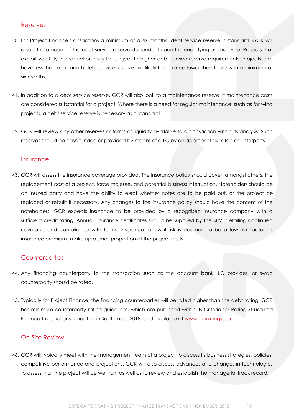#### <span id="page-9-0"></span>Reserves

- 40. For Project Finance transactions a minimum of a six months' debt service reserve is standard. GCR will assess the amount of the debt service reserve dependent upon the underlying project type. Projects that exhibit volatility in production may be subject to higher debt service reserve requirements. Projects that have less than a six month debt service reserve are likely to be rated lower than those with a minimum of six months.
- 41. In addition to a debt service reserve, GCR will also look to a maintenance reserve, if maintenance costs are considered substantial for a project. Where there is a need for regular maintenance, such as for wind projects, a debt service reserve is necessary as a standard.
- 42. GCR will review any other reserves or forms of liquidity available to a transaction within its analysis. Such reserves should be cash funded or provided by means of a LC by an appropriately rated counterparty.

#### <span id="page-9-1"></span>**Insurance**

43. GCR will assess the insurance coverage provided. The insurance policy should cover, amongst others, the replacement cost of a project, force majeure, and potential business interruption. Noteholders should be an insured party and have the ability to elect whether notes are to be paid out, or the project be replaced or rebuilt if necessary. Any changes to the insurance policy should have the consent of the noteholders. GCR expects insurance to be provided by a recognised insurance company with a sufficient credit rating. Annual insurance certificates should be supplied by the SPV, detailing continued coverage and compliance with terms. Insurance renewal risk is deemed to be a low risk factor as insurance premiums make up a small proportion of the project costs.

#### <span id="page-9-2"></span>**Counterparties**

- 44. Any financing counterparty to the transaction such as the account bank, LC provider, or swap counterparty should be rated.
- 45. Typically for Project Finance, the financing counterparties will be rated higher than the debt rating. GCR has minimum counterparty rating guidelines, which are published within its Criteria for Rating Structured Finance Transactions, updated in September 2018, and available at [www.gcrratings.com.](http://www.gcrratings.com/)

#### <span id="page-9-3"></span>On-Site Review

46. GCR will typically meet with the management team of a project to discuss its business strategies, policies, competitive performance and projections. GCR will also discuss advances and changes in technologies to assess that the project will be well run, as well as to review and establish the managerial track record.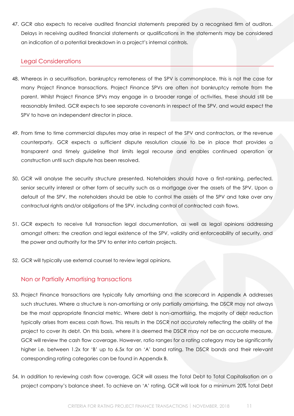47. GCR also expects to receive audited financial statements prepared by a recognised firm of auditors. Delays in receiving audited financial statements or qualifications in the statements may be considered an indication of a potential breakdown in a project's internal controls.

#### <span id="page-10-0"></span>Legal Considerations

- 48. Whereas in a securitisation, bankruptcy remoteness of the SPV is commonplace, this is not the case for many Project Finance transactions. Project Finance SPVs are often not bankruptcy remote from the parent. Whilst Project Finance SPVs may engage in a broader range of activities, these should still be reasonably limited. GCR expects to see separate covenants in respect of the SPV, and would expect the SPV to have an independent director in place.
- 49. From time to time commercial disputes may arise in respect of the SPV and contractors, or the revenue counterparty. GCR expects a sufficient dispute resolution clause to be in place that provides a transparent and timely guideline that limits legal recourse and enables continued operation or construction until such dispute has been resolved.
- 50. GCR will analyse the security structure presented. Noteholders should have a first-ranking, perfected, senior security interest or other form of security such as a mortgage over the assets of the SPV. Upon a default of the SPV, the noteholders should be able to control the assets of the SPV and take over any contractual rights and/or obligations of the SPV, including control of contracted cash flows.
- 51. GCR expects to receive full transaction legal documentation, as well as legal opinions addressing amongst others: the creation and legal existence of the SPV, validity and enforceability of security, and the power and authority for the SPV to enter into certain projects.
- 52. GCR will typically use external counsel to review legal opinions.

#### <span id="page-10-1"></span>Non or Partially Amortising transactions

- 53. Project Finance transactions are typically fully amortising and the scorecard in Appendix A addresses such structures. Where a structure is non-amortising or only partially amortising, the DSCR may not always be the most appropriate financial metric. Where debt is non-amortising, the majority of debt reduction typically arises from excess cash flows. This results in the DSCR not accurately reflecting the ability of the project to cover its debt. On this basis, where it is deemed the DSCR may not be an accurate measure, GCR will review the cash flow coverage. However, ratio ranges for a rating category may be significantly higher i.e. between 1.2x for 'B' up to 6.5x for an 'A' band rating. The DSCR bands and their relevant corresponding rating categories can be found in Appendix B.
- 54. In addition to reviewing cash flow coverage, GCR will assess the Total Debt to Total Capitalisation on a project company's balance sheet. To achieve an 'A' rating, GCR will look for a minimum 20% Total Debt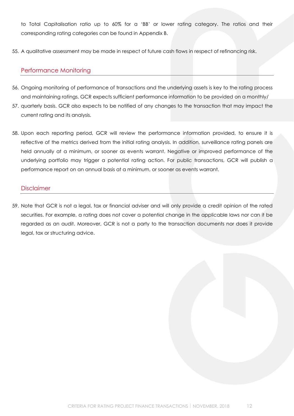to Total Capitalisation ratio up to 60% for a 'BB' or lower rating category. The ratios and their corresponding rating categories can be found in Appendix B.

55. A qualitative assessment may be made in respect of future cash flows in respect of refinancing risk.

#### <span id="page-11-0"></span>Performance Monitoring

- 56. Ongoing monitoring of performance of transactions and the underlying assets is key to the rating process and maintaining ratings. GCR expects sufficient performance information to be provided on a monthly/
- 57. quarterly basis. GCR also expects to be notified of any changes to the transaction that may impact the current rating and its analysis.
- 58. Upon each reporting period, GCR will review the performance information provided, to ensure it is reflective of the metrics derived from the initial rating analysis. In addition, surveillance rating panels are held annually at a minimum, or sooner as events warrant. Negative or improved performance of the underlying portfolio may trigger a potential rating action. For public transactions, GCR will publish a performance report on an annual basis at a minimum, or sooner as events warrant.

#### <span id="page-11-1"></span>**Disclaimer**

59. Note that GCR is not a legal, tax or financial adviser and will only provide a credit opinion of the rated securities. For example, a rating does not cover a potential change in the applicable laws nor can it be regarded as an audit. Moreover, GCR is not a party to the transaction documents nor does it provide legal, tax or structuring advice.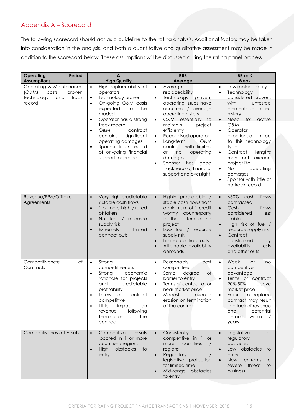## <span id="page-12-0"></span>Appendix A – Scorecard

The following scorecard should act as a guideline to the rating analysis. Additional factors may be taken into consideration in the analysis, and both a quantitative and qualitative assessment may be made in addition to the scorecard below. These assumptions will be discussed during the rating panel process.

|                                                                                              |                                                                                                                                                                                                                                                                                                                                                                                               |                                                                                                                                                                                                                                                                                                                                                                                                                                                               | $BB$ or $\leq$                                                                                                                                                                                                                                                                                                                                                                                                                                                |
|----------------------------------------------------------------------------------------------|-----------------------------------------------------------------------------------------------------------------------------------------------------------------------------------------------------------------------------------------------------------------------------------------------------------------------------------------------------------------------------------------------|---------------------------------------------------------------------------------------------------------------------------------------------------------------------------------------------------------------------------------------------------------------------------------------------------------------------------------------------------------------------------------------------------------------------------------------------------------------|---------------------------------------------------------------------------------------------------------------------------------------------------------------------------------------------------------------------------------------------------------------------------------------------------------------------------------------------------------------------------------------------------------------------------------------------------------------|
| <b>Operating</b><br>Period<br><b>Assumptions</b>                                             | A<br><b>High Quality</b>                                                                                                                                                                                                                                                                                                                                                                      | <b>BBB</b><br>Average                                                                                                                                                                                                                                                                                                                                                                                                                                         | Weak                                                                                                                                                                                                                                                                                                                                                                                                                                                          |
| Operating & Maintenance<br>(0&M)<br>costs,<br>proven<br>technology<br>track<br>and<br>record | High replaceability of<br>$\bullet$<br>operators<br>Technology proven<br>$\bullet$<br>On-going O&M costs<br>$\bullet$<br>expected<br>to<br>be<br>modest<br>Operator has a strong<br>$\bullet$<br>track record<br><b>O&amp;M</b><br>contract<br>$\bullet$<br>contains<br>significant<br>operating damages<br>Sponsor track record<br>$\bullet$<br>of on-going financial<br>support for project | $\bullet$<br>Average<br>replaceability<br>Technology<br>proven,<br>$\bullet$<br>operating issues have<br>occurred / average<br>operating history<br>O&M essentially to<br>$\bullet$<br>maintain<br>project<br>efficiently<br>Recognised operator<br>$\bullet$<br>Long-term<br>O&M<br>$\bullet$<br>contract with limited<br>operating<br><b>or</b><br>no<br>damages<br>Sponsor<br>has<br>good<br>$\bullet$<br>track record, financial<br>support and oversight | Low replaceability<br>$\bullet$<br>Technology<br>$\bullet$<br>considered proven,<br>with<br>untested<br>elements or limited<br>history<br>Need<br>for active<br>$\bullet$<br><b>O&amp;M</b><br>Operator<br>$\bullet$<br>experience limited<br>to this technology<br>type<br>Contract<br>$\bullet$<br>lengths<br>may not<br>exceed<br>project life<br><b>No</b><br>operating<br>$\bullet$<br>damages<br>Sponsor with little or<br>$\bullet$<br>no track record |
| Revenue/PPA/Offtake<br>Agreements                                                            | Very high predictable<br>$\bullet$<br>/ stable cash flows<br>1 or more highly rated<br>$\bullet$<br>offtakers<br>No fuel<br>$\sqrt{ }$<br>resource<br>$\bullet$<br>supply risk<br>Extremely<br>limited<br>$\bullet$<br>contract outs                                                                                                                                                          | Highly predictable /<br>$\bullet$<br>stable cash flows from<br>a minimum of 1 credit<br>worthy counterparty<br>for the full term of the<br>project<br>Low fuel / resource<br>$\bullet$<br>supply risk<br>Limited contract outs<br>$\bullet$<br>Attainable availability<br>$\bullet$<br>demands                                                                                                                                                                | $< 50\%$<br>flows<br>$\bullet$<br>cash<br>contracted<br>Cash<br>flows<br>$\bullet$<br>considered<br>less<br>stable<br>High risk of fuel /<br>$\bullet$<br>resource supply risk<br>$\bullet$<br>Contract<br>constrained<br>by<br>availability<br>tests<br>and other outs                                                                                                                                                                                       |
| Competitiveness<br>of<br>Contracts                                                           | Strong<br>$\bullet$<br>competitiveness<br>Strong<br>economic<br>$\bullet$<br>rationale for projects<br>and<br>predictable<br>profitability<br>contract<br>Terms<br>of<br>$\bullet$<br>competitive<br>Little<br>impact<br>$\bullet$<br>on<br>following<br>revenue<br>termination<br>of<br>the<br>contract                                                                                      | Reasonably<br>cost<br>$\bullet$<br>competitive<br>of<br>Some<br>degree<br>$\bullet$<br>barrier to entry<br>Terms of contact at or<br>$\bullet$<br>near market price<br>Modest<br>revenue<br>$\bullet$<br>erosion on termination<br>of the contract                                                                                                                                                                                                            | $\bullet$<br>Weak<br><b>or</b><br>no<br>competitive<br>advantage<br>Terms of contract<br>$\bullet$<br>20%-50%<br>above<br>market price<br>Failure to replace<br>$\bullet$<br>contract may result<br>in a lack of revenue<br>and<br>potential<br>default<br>within<br>2<br>years                                                                                                                                                                               |
| <b>Competitiveness of Assets</b>                                                             | Competitive<br>assets<br>$\bullet$<br>located in 1 or more<br>countries / regions<br>High<br>obstacles<br>to<br>$\bullet$<br>entry                                                                                                                                                                                                                                                            | Consistently<br>$\bullet$<br>competitive in 1<br><b>or</b><br>countries<br>more<br>$\prime$<br>regions<br>Regulatory<br>$\sqrt{2}$<br>legislative protection<br>for limited time<br>Mid-range<br>obstacles<br>$\bullet$<br>to entry                                                                                                                                                                                                                           | Legislative<br>$\bullet$<br><b>or</b><br>regulatory<br>obstacles<br>Low obstacles<br>to<br>entry<br><b>New</b><br>entrants<br>a<br>threat<br>severe<br>to<br>business                                                                                                                                                                                                                                                                                         |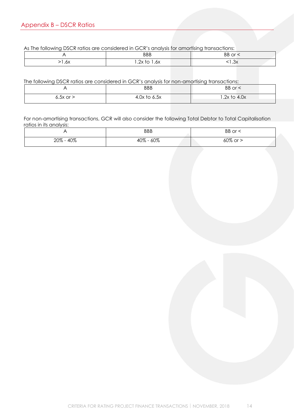## <span id="page-13-0"></span>Appendix B – DSCR Ratios

As The following DSCR ratios are considered in GCR's analysis for amortising transactions:

|      | <b>BBB</b>                   | ΒB<br>⊱orl |
|------|------------------------------|------------|
| 1.6x | $2v + 2$<br>.6X<br>∆∡.<br>∣∪ | 2v<br>۸ ټ. |

#### The following DSCR ratios are considered in GCR's analysis for non-amortising transactions:

|               | <b>BBB</b>       | BB or $\leq$     |
|---------------|------------------|------------------|
| $6.5x$ or $>$ | $4.0x$ to $6.5x$ | $1.2x$ to $4.0x$ |

For non-amortising transactions, GCR will also consider the following Total Debtor to Total Capitalisation ratios in its analysis:

|       | <b>BBB</b> | $BB$ or $\leq$ |
|-------|------------|----------------|
| 40%   | 60%        | 60% or         |
| 20% - | 40%        | $\mathsf{r}$   |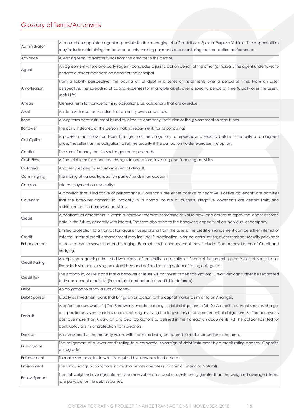## <span id="page-14-0"></span>Glossary of Terms/Acronyms

| Administrator        | A transaction appointed agent responsible for the managing of a Conduit or a Special Purpose Vehicle. The responsibilities        |
|----------------------|-----------------------------------------------------------------------------------------------------------------------------------|
|                      | may include maintaining the bank accounts, making payments and monitoring the transaction performance.                            |
| Advance              | A lending term, to transfer funds from the creditor to the debtor.                                                                |
| Agent                | An agreement where one party (agent) concludes a juristic act on behalf of the other (principal). The agent undertakes to         |
|                      | perform a task or mandate on behalf of the principal.                                                                             |
|                      | From a liability perspective, the paying off of debt in a series of installments over a period of time. From an asset             |
| Amortisation         | perspective, the spreading of capital expenses for intangible assets over a specific period of time (usually over the asset's     |
|                      | useful life).                                                                                                                     |
| Arrears              | General term for non-performing obligations, i.e. obligations that are overdue.                                                   |
| Asset                | An item with economic value that an entity owns or controls.                                                                      |
| Bond                 | A long term debt instrument issued by either: a company, institution or the government to raise funds.                            |
| Borrower             | The party indebted or the person making repayments for its borrowings.                                                            |
| Call Option          | A provision that allows an Issuer the right, not the obligation, to repurchase a security before its maturity at an agreed        |
|                      | price. The seller has the obligation to sell the security if the call option holder exercises the option.                         |
| Capital              | The sum of money that is used to generate proceeds.                                                                               |
| Cash Flow            | A financial term for monetary changes in operations, investing and financing activities.                                          |
| Collateral           | An asset pledged as security in event of default.                                                                                 |
| Commingling          | The mixing of various transaction parties' funds in an account.                                                                   |
| Coupon               | Interest payment on a security.                                                                                                   |
|                      | A provision that is indicative of performance. Covenants are either positive or negative. Positive covenants are activities       |
| Covenant             | that the borrower commits to, typically in its normal course of business. Negative covenants are certain limits and               |
|                      | restrictions on the borrowers' activities.                                                                                        |
|                      | A contractual agreement in which a borrower receives something of value now, and agrees to repay the lender at some               |
| Credit               | date in the future, generally with interest. The term also refers to the borrowing capacity of an individual or company           |
|                      | Limited protection to a transaction against losses arising from the assets. The credit enhancement can be either internal or      |
| Credit               | external. Internal credit enhancement may include: Subordination; over-collateralisation; excess spread; security package;        |
| Enhancement          | arrears reserve; reserve fund and hedging. External credit enhancement may include: Guarantees; Letters of Credit and             |
|                      | hedging.                                                                                                                          |
| Credit Rating        | An opinion regarding the creditworthiness of an entity, a security or financial instrument, or an issuer of securities or         |
|                      | financial instruments, using an established and defined ranking system of rating categories.                                      |
| <b>Credit Risk</b>   | The probability or likelihood that a borrower or issuer will not meet its debt obligations. Credit Risk can further be separated  |
|                      | between current credit risk (immediate) and potential credit risk (deferred).                                                     |
| Debt                 | An obligation to repay a sum of money.                                                                                            |
| Debt Sponsor         | Usually as Investment bank that brings a transaction to the capital markets, similar to an Arranger.                              |
|                      | A default occurs when: 1.) The Borrower is unable to repay its debt obligations in full; 2.) A credit-loss event such as charge-  |
| Default              | off, specific provision or distressed restructuring involving the forgiveness or postponement of obligations; 3.) The borrower is |
|                      | past due more than X days on any debt obligations as defined in the transaction documents; 4.) The obligor has filed for          |
|                      | bankruptcy or similar protection from creditors.                                                                                  |
| Desktop              | An assessment of the property value, with the value being compared to similar properties in the area.                             |
| Downgrade            | The assignment of a lower credit rating to a corporate, sovereign of debt instrument by a credit rating agency. Opposite          |
|                      | of upgrade.                                                                                                                       |
| Enforcement          | To make sure people do what is required by a law or rule et cetera.                                                               |
| Environment          | The surroundings or conditions in which an entity operates (Economic, Financial, Natural).                                        |
| <b>Excess Spread</b> | The net weighted average interest rate receivable on a pool of assets being greater than the weighted average interest            |
|                      | rate payable for the debt securities.                                                                                             |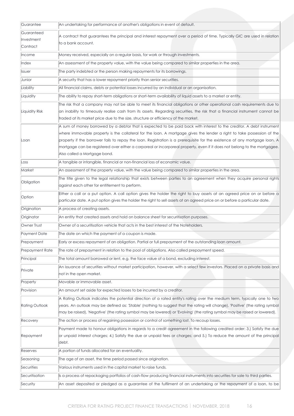| Guarantee       | An undertaking for performance of another's obligations in event of default.                                                   |
|-----------------|--------------------------------------------------------------------------------------------------------------------------------|
| Guaranteed      | A contract that guarantees the principal and interest repayment over a period of time. Typically GIC are used in relation      |
| Investment      | to a bank account.                                                                                                             |
| Contract        |                                                                                                                                |
| Income          | Money received, especially on a regular basis, for work or through investments.                                                |
| Index           | An assessment of the property value, with the value being compared to similar properties in the area.                          |
| Issuer          | The party indebted or the person making repayments for its borrowings.                                                         |
| Junior          | A security that has a lower repayment priority than senior securities.                                                         |
| Liability       | All financial claims, debts or potential losses incurred by an individual or an organisation.                                  |
| Liquidity       | The ability to repay short-term obligations or short-term availability of liquid assets to a market or entity.                 |
|                 | The risk that a company may not be able to meet its financial obligations or other operational cash requirements due to        |
| Liquidity Risk  | an inability to timeously realise cash from its assets. Regarding securities, the risk that a financial instrument cannot be   |
|                 | traded at its market price due to the size, structure or efficiency of the market.                                             |
|                 | A sum of money borrowed by a debtor that is expected to be paid back with interest to the creditor. A debt instrument          |
|                 | where immovable property is the collateral for the loan. A mortgage gives the lender a right to take possession of the         |
| Loan            | property if the borrower fails to repay the loan. Registration is a prerequisite for the existence of any mortgage loan. A     |
|                 | mortgage can be registered over either a corporeal or incorporeal property, even if it does not belong to the mortgagee.       |
|                 | Also called a Mortgage bond.                                                                                                   |
| Loss            | A tangible or intangible, financial or non-financial loss of economic value.                                                   |
| Market          | An assessment of the property value, with the value being compared to similar properties in the area.                          |
| Obligation      | The title given to the legal relationship that exists between parties to an agreement when they acquire personal rights        |
|                 | against each other for entitlement to perform.                                                                                 |
|                 | Either a call or a put option. A call option gives the holder the right to buy assets at an agreed price on or before a        |
| Option          | particular date. A put option gives the holder the right to sell assets at an agreed price on or before a particular date.     |
| Origination     | A process of creating assets.                                                                                                  |
| Originator      | An entity that created assets and hold on balance sheet for securitisation purposes.                                           |
| Owner Trust     | Owner of a securitisation vehicle that acts in the best interest of the Noteholders.                                           |
| Payment Date    | The date on which the payment of a coupon is made.                                                                             |
| Prepayment      | Early or excess repayment of an obligation. Partial or full prepayment of the outstanding loan amount.                         |
| Prepayment Rate | The rate of prepayment in relation to the pool of obligations. Also called prepayment speed.                                   |
| Principal       | The total amount borrowed or lent, e.g. the face value of a bond, excluding interest.                                          |
| Private         | An issuance of securities without market participation, however, with a select few investors. Placed on a private basis and    |
|                 | not in the open market.                                                                                                        |
| Property        | Movable or immovable asset.                                                                                                    |
| Provision       | An amount set aside for expected losses to be incurred by a creditor.                                                          |
|                 | A Rating Outlook indicates the potential direction of a rated entity's rating over the medium term, typically one to two       |
| Rating Outlook  | years. An outlook may be defined as: 'Stable' (nothing to suggest that the rating will change), 'Positive' (the rating symbol  |
|                 | may be raised), 'Negative' (the rating symbol may be lowered) or 'Evolving' (the rating symbol may be raised or lowered).      |
| Recovery        | The action or process of regaining possession or control of something lost. To recoup losses.                                  |
|                 | Payment made to honour obligations in regards to a credit agreement in the following credited order: 3.) Satisfy the due       |
| Repayment       | or unpaid interest charges; 4.) Satisfy the due or unpaid fees or charges; and 5.) To reduce the amount of the principal       |
|                 | debt.                                                                                                                          |
| Reserves        | A portion of funds allocated for an eventuality.                                                                               |
| Seasoning       | The age of an asset, the time period passed since origination.                                                                 |
| Securities      | Various instruments used in the capital market to raise funds.                                                                 |
| Securitisation  | Is a process of repackaging portfolios of cash-flow producing financial instruments into securities for sale to third parties. |
| Security        | An asset deposited or pledged as a guarantee of the fulfilment of an undertaking or the repayment of a loan, to be             |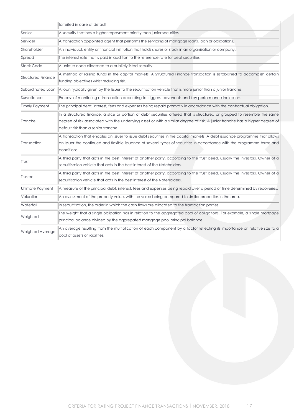|                           | forfeited in case of default.                                                                                                                                                                                                                                                                     |
|---------------------------|---------------------------------------------------------------------------------------------------------------------------------------------------------------------------------------------------------------------------------------------------------------------------------------------------|
| Senior                    | A security that has a higher repayment priority than junior securities.                                                                                                                                                                                                                           |
| Servicer                  | A transaction appointed agent that performs the servicing of mortgage loans, loan or obligations.                                                                                                                                                                                                 |
| Shareholder               | An individual, entity or financial institution that holds shares or stock in an organisation or company.                                                                                                                                                                                          |
| Spread                    | The interest rate that is paid in addition to the reference rate for debt securities.                                                                                                                                                                                                             |
| Stock Code                | A unique code allocated to a publicly listed security.                                                                                                                                                                                                                                            |
| <b>Structured Finance</b> | A method of raising funds in the capital markets. A Structured Finance transaction is established to accomplish certain<br>funding objectives whist reducing risk.                                                                                                                                |
| Subordinated Loan         | A loan typically given by the Issuer to the securitisation vehicle that is more junior than a junior tranche.                                                                                                                                                                                     |
| Surveillance              | Process of monitoring a transaction according to triggers, covenants and key performance indicators.                                                                                                                                                                                              |
| <b>Timely Payment</b>     | The principal debt, interest, fees and expenses being repaid promptly in accordance with the contractual obligation.                                                                                                                                                                              |
| Tranche                   | In a structured finance, a slice or portion of debt securities offered that is structured or grouped to resemble the same<br>degree of risk associated with the underlying asset or with a similar degree of risk. A junior tranche has a higher degree of<br>default risk than a senior tranche. |
| Transaction               | A transaction that enables an Issuer to issue debt securities in the capital markets. A debt issuance programme that allows<br>an Issuer the continued and flexible issuance of several types of securities in accordance with the programme terms and<br>conditions.                             |
| Trust                     | A third party that acts in the best interest of another party, according to the trust deed, usually the investors. Owner of a<br>securitisation vehicle that acts in the best interest of the Noteholders.                                                                                        |
| Trustee                   | A third party that acts in the best interest of another party, according to the trust deed, usually the investors. Owner of a<br>securitisation vehicle that acts in the best interest of the Noteholders.                                                                                        |
| Ultimate Payment          | A measure of the principal debt, interest, fees and expenses being repaid over a period of time determined by recoveries.                                                                                                                                                                         |
| Valuation                 | An assessment of the property value, with the value being compared to similar properties in the area.                                                                                                                                                                                             |
| Waterfall                 | In securitisation, the order in which the cash flows are allocated to the transaction parties.                                                                                                                                                                                                    |
| Weighted                  | The weight that a single obligation has in relation to the aggregated pool of obligations. For example, a single mortgage<br>principal balance divided by the aggregated mortgage pool principal balance.                                                                                         |
| <b>Weighted Average</b>   | An average resulting from the multiplication of each component by a factor reflecting its importance or, relative size to a<br>pool of assets or liabilities.                                                                                                                                     |